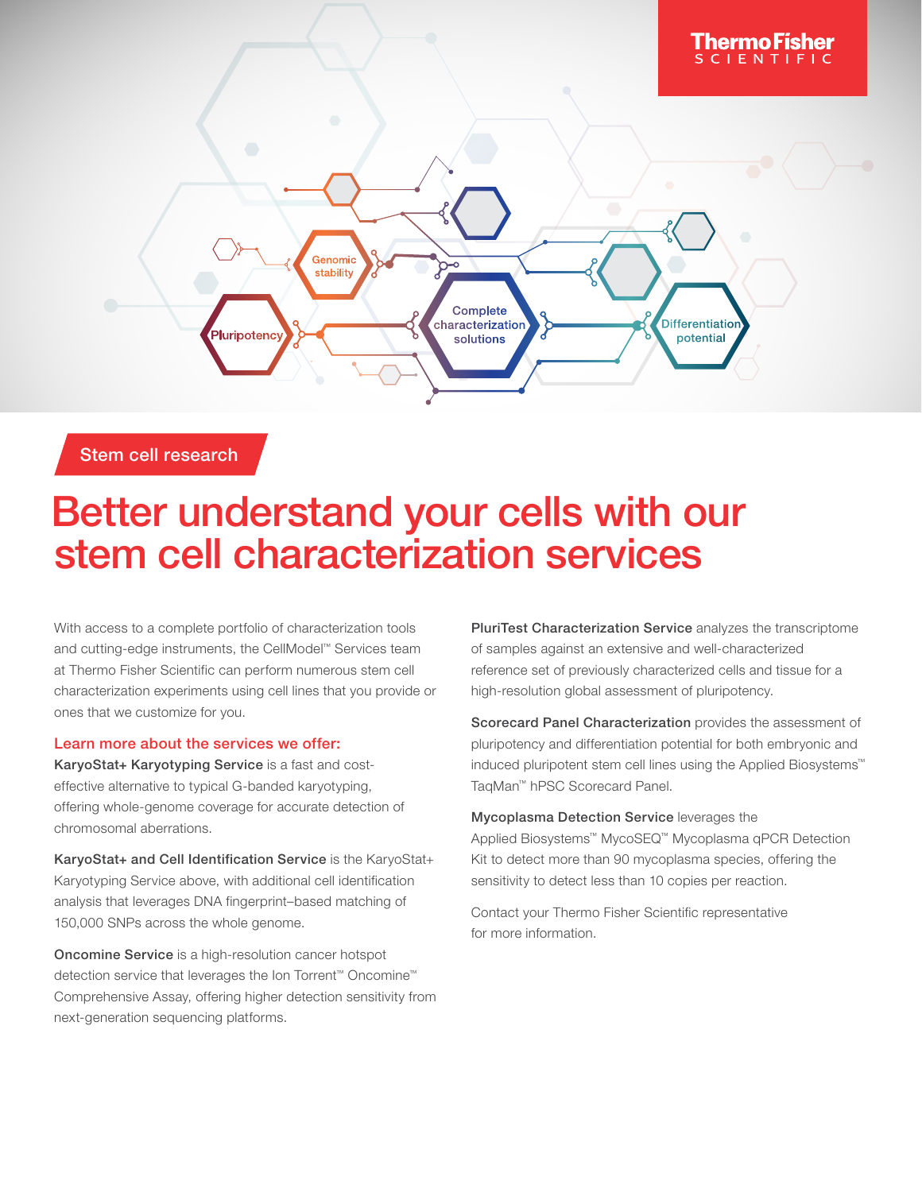

Stem cell research

## Better understand your cells with our stem cell characterization services

With access to a complete portfolio of characterization tools and cutting-edge instruments, the CellModel™ Services team at Thermo Fisher Scientific can perform numerous stem cell characterization experiments using cell lines that you provide or ones that we customize for you.

## Learn more about the services we offer:

KaryoStat+ Karyotyping Service is a fast and costeffective alternative to typical G-banded karyotyping, offering whole-genome coverage for accurate detection of chromosomal aberrations.

KaryoStat+ and Cell Identification Service is the KaryoStat+ Karyotyping Service above, with additional cell identification analysis that leverages DNA fingerprint–based matching of 150,000 SNPs across the whole genome.

Oncomine Service is a high-resolution cancer hotspot detection service that leverages the Ion Torrent™ Oncomine™ Comprehensive Assay, offering higher detection sensitivity from next-generation sequencing platforms.

PluriTest Characterization Service analyzes the transcriptome of samples against an extensive and well-characterized reference set of previously characterized cells and tissue for a high-resolution global assessment of pluripotency.

Scorecard Panel Characterization provides the assessment of pluripotency and differentiation potential for both embryonic and induced pluripotent stem cell lines using the Applied Biosystems™ TaqMan™ hPSC Scorecard Panel.

Mycoplasma Detection Service leverages the Applied Biosystems™ MycoSEQ™ Mycoplasma qPCR Detection Kit to detect more than 90 mycoplasma species, offering the sensitivity to detect less than 10 copies per reaction.

Contact your Thermo Fisher Scientific representative for more information.